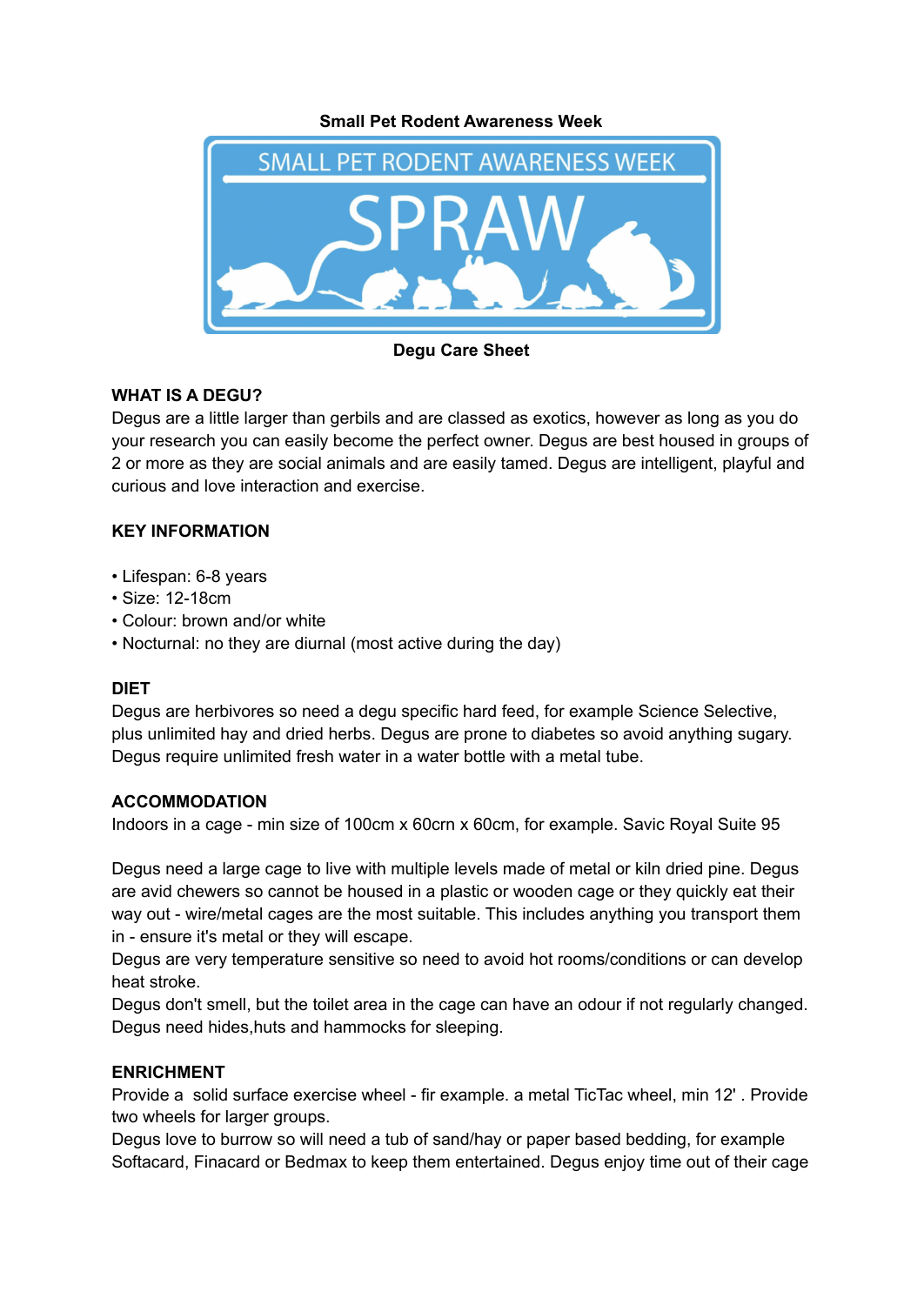**Small Pet Rodent Awareness Week**



**Degu Care Sheet**

# **WHAT IS A DEGU?**

Degus are a little larger than gerbils and are classed as exotics, however as long as you do your research you can easily become the perfect owner. Degus are best housed in groups of 2 or more as they are social animals and are easily tamed. Degus are intelligent, playful and curious and love interaction and exercise.

## **KEY INFORMATION**

- Lifespan: 6-8 years
- Size: 12-18cm
- Colour: brown and/or white
- Nocturnal: no they are diurnal (most active during the day)

### **DIET**

Degus are herbivores so need a degu specific hard feed, for example Science Selective, plus unlimited hay and dried herbs. Degus are prone to diabetes so avoid anything sugary. Degus require unlimited fresh water in a water bottle with a metal tube.

### **ACCOMMODATION**

Indoors in a cage - min size of 100cm x 60crn x 60cm, for example. Savic Royal Suite 95

Degus need a large cage to live with multiple levels made of metal or kiln dried pine. Degus are avid chewers so cannot be housed in a plastic or wooden cage or they quickly eat their way out - wire/metal cages are the most suitable. This includes anything you transport them in - ensure it's metal or they will escape.

Degus are very temperature sensitive so need to avoid hot rooms/conditions or can develop heat stroke.

Degus don't smell, but the toilet area in the cage can have an odour if not regularly changed. Degus need hides,huts and hammocks for sleeping.

### **ENRICHMENT**

Provide a solid surface exercise wheel - fir example. a metal TicTac wheel, min 12' . Provide two wheels for larger groups.

Degus love to burrow so will need a tub of sand/hay or paper based bedding, for example Softacard, Finacard or Bedmax to keep them entertained. Degus enjoy time out of their cage